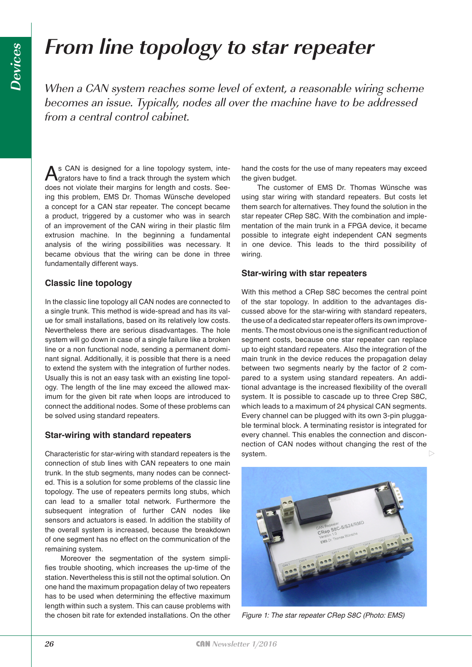# **From line topology to star repeater**

When a CAN system reaches some level of extent, a reasonable wiring scheme becomes an issue. Typically, nodes all over the machine have to be addressed from a central control cabinet.

As CAN is designed for a line topology system, integrators have to find a track through the system which does not violate their margins for length and costs. Seeing this problem, EMS Dr. Thomas Wünsche developed a concept for a CAN star repeater. The concept became a product, triggered by a customer who was in search of an improvement of the CAN wiring in their plastic film extrusion machine. In the beginning a fundamental analysis of the wiring possibilities was necessary. It became obvious that the wiring can be done in three fundamentally different ways.

# **Classic line topology**

In the classic line topology all CAN nodes are connected to a single trunk. This method is wide-spread and has its value for small installations, based on its relatively low costs. Nevertheless there are serious disadvantages. The hole system will go down in case of a single failure like a broken line or a non functional node, sending a permanent dominant signal. Additionally, it is possible that there is a need to extend the system with the integration of further nodes. Usually this is not an easy task with an existing line topology. The length of the line may exceed the allowed maximum for the given bit rate when loops are introduced to connect the additional nodes. Some of these problems can be solved using standard repeaters.

## **Star-wiring with standard repeaters**

Characteristic for star-wiring with standard repeaters is the connection of stub lines with CAN repeaters to one main trunk. In the stub segments, many nodes can be connected. This is a solution for some problems of the classic line topology. The use of repeaters permits long stubs, which can lead to a smaller total network. Furthermore the subsequent integration of further CAN nodes like sensors and actuators is eased. In addition the stability of the overall system is increased, because the breakdown of one segment has no effect on the communication of the remaining system.

Moreover the segmentation of the system simplifies trouble shooting, which increases the up-time of the station. Nevertheless this is still not the optimal solution. On one hand the maximum propagation delay of two repeaters has to be used when determining the effective maximum length within such a system. This can cause problems with the chosen bit rate for extended installations. On the other

hand the costs for the use of many repeaters may exceed the given budget.

The customer of EMS Dr. Thomas Wünsche was using star wiring with standard repeaters. But costs let them search for alternatives. They found the solution in the star repeater CRep S8C. With the combination and implementation of the main trunk in a FPGA device, it became possible to integrate eight independent CAN segments in one device. This leads to the third possibility of wiring.

## **Star-wiring with star repeaters**

With this method a CRep S8C becomes the central point of the star topology. In addition to the advantages discussed above for the star-wiring with standard repeaters, the use of a dedicated star repeater offers its own improvements. The most obvious one is the significant reduction of segment costs, because one star repeater can replace up to eight standard repeaters. Also the integration of the main trunk in the device reduces the propagation delay between two segments nearly by the factor of 2 compared to a system using standard repeaters. An additional advantage is the increased flexibility of the overall system. It is possible to cascade up to three Crep S8C, which leads to a maximum of 24 physical CAN segments. Every channel can be plugged with its own 3-pin pluggable terminal block. A terminating resistor is integrated for every channel. This enables the connection and disconnection of CAN nodes without changing the rest of the system.  $\triangleright$ 



*Figure 1: The star repeater CRep S8C (Photo: EMS)*